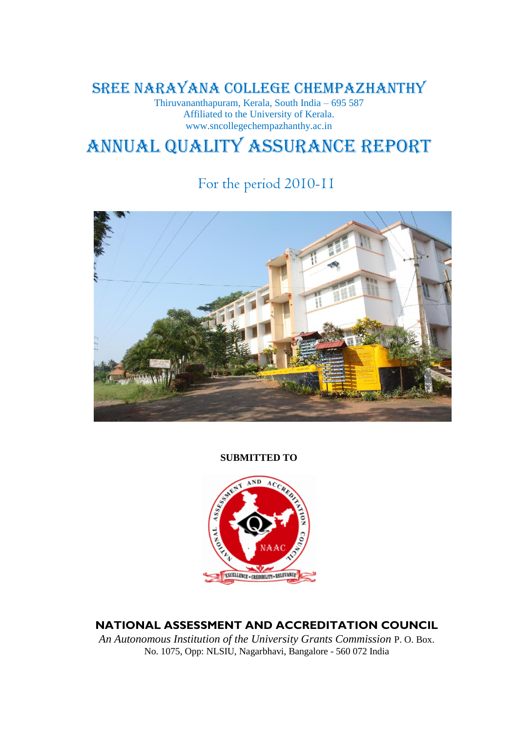# SREE NARAYANA COLLEGE CHEMPAZHANTHY

Thiruvananthapuram, Kerala, South India – 695 587 Affiliated to the University of Kerala. www.sncollegechempazhanthy.ac.in

# Annual Quality Assurance Report

# For the period 2010-11



**SUBMITTED TO**



**NATIONAL ASSESSMENT AND ACCREDITATION COUNCIL** 

*An Autonomous Institution of the University Grants Commission* P. O. Box. No. 1075, Opp: NLSIU, Nagarbhavi, Bangalore - 560 072 India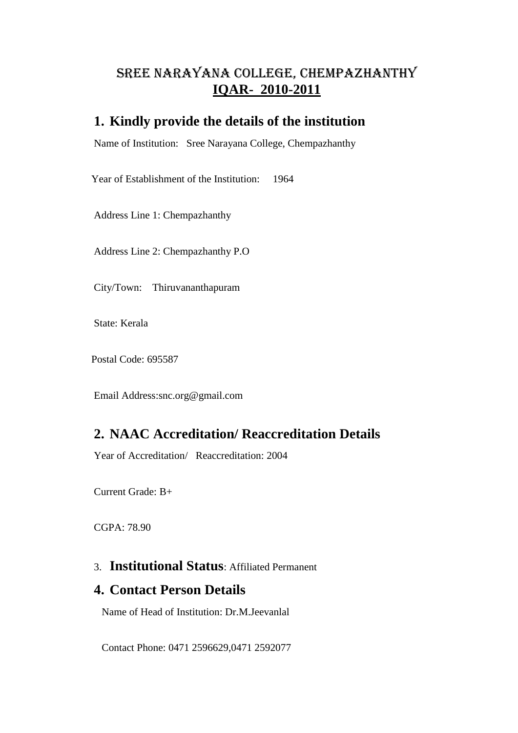# SREE NARAYANA COLLEGE, CHEMPAZHANTHY **IQAR- 2010-2011**

### **1. Kindly provide the details of the institution**

Name of Institution: Sree Narayana College, Chempazhanthy

Year of Establishment of the Institution: 1964

Address Line 1: Chempazhanthy

Address Line 2: Chempazhanthy P.O

City/Town: Thiruvananthapuram

State: Kerala

Postal Code: 695587

Email Address:snc.org@gmail.com

# **2. NAAC Accreditation/ Reaccreditation Details**

Year of Accreditation/ Reaccreditation: 2004

Current Grade: B+

CGPA: 78.90

### 3. **Institutional Status**: Affiliated Permanent

### **4. Contact Person Details**

Name of Head of Institution: Dr.M.Jeevanlal

Contact Phone: 0471 2596629,0471 2592077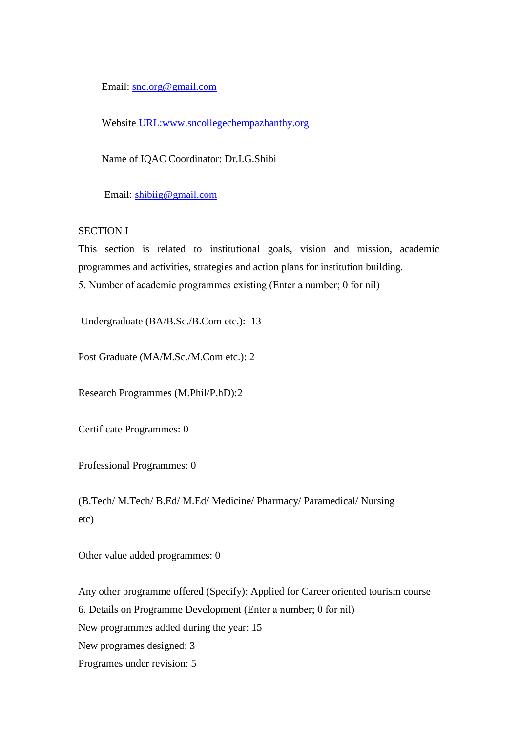Email: [snc.org@gmail.com](mailto:snc.org@gmail.com)

Website [URL:www.sncollegechempazhanthy.org](www.sncollegechempazhanthy.org)

Name of IQAC Coordinator: Dr.I.G.Shibi

Email: [shibiig@gmail.com](mailto:shibiig@gmail.com)

#### SECTION I

This section is related to institutional goals, vision and mission, academic programmes and activities, strategies and action plans for institution building. 5. Number of academic programmes existing (Enter a number; 0 for nil)

Undergraduate (BA/B.Sc./B.Com etc.): 13

Post Graduate (MA/M.Sc./M.Com etc.): 2

Research Programmes (M.Phil/P.hD):2

Certificate Programmes: 0

Professional Programmes: 0

(B.Tech/ M.Tech/ B.Ed/ M.Ed/ Medicine/ Pharmacy/ Paramedical/ Nursing etc)

Other value added programmes: 0

Any other programme offered (Specify): Applied for Career oriented tourism course 6. Details on Programme Development (Enter a number; 0 for nil) New programmes added during the year: 15 New programes designed: 3 Programes under revision: 5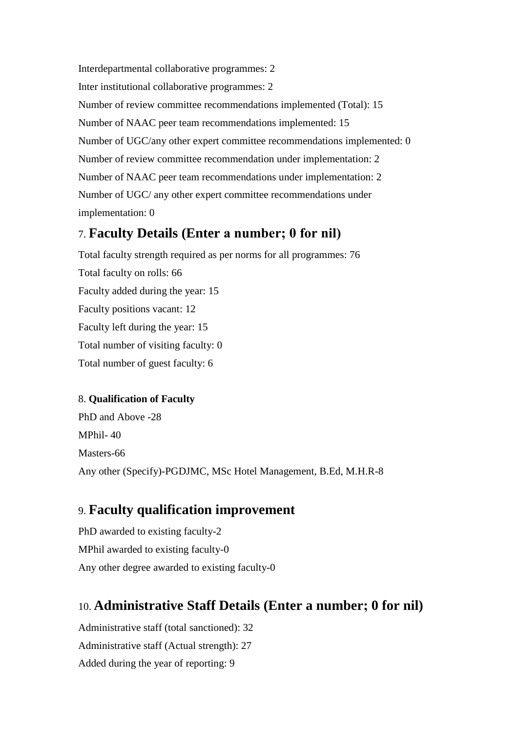Interdepartmental collaborative programmes: 2 Inter institutional collaborative programmes: 2 Number of review committee recommendations implemented (Total): 15 Number of NAAC peer team recommendations implemented: 15 Number of UGC/any other expert committee recommendations implemented: 0 Number of review committee recommendation under implementation: 2 Number of NAAC peer team recommendations under implementation: 2 Number of UGC/ any other expert committee recommendations under implementation: 0

## 7. **Faculty Details (Enter a number; 0 for nil)**

Total faculty strength required as per norms for all programmes: 76 Total faculty on rolls: 66 Faculty added during the year: 15 Faculty positions vacant: 12 Faculty left during the year: 15 Total number of visiting faculty: 0 Total number of guest faculty: 6

### 8. **Qualification of Faculty**

PhD and Above -28 MPhil- 40 Masters-66 Any other (Specify)-PGDJMC, MSc Hotel Management, B.Ed, M.H.R-8

## 9. **Faculty qualification improvement**

PhD awarded to existing faculty-2 MPhil awarded to existing faculty-0 Any other degree awarded to existing faculty-0

# 10. **Administrative Staff Details (Enter a number; 0 for nil)**

Administrative staff (total sanctioned): 32 Administrative staff (Actual strength): 27 Added during the year of reporting: 9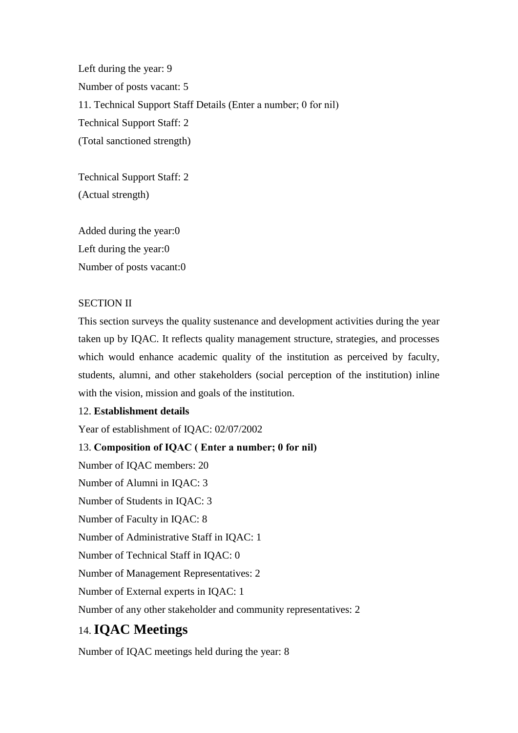Left during the year: 9 Number of posts vacant: 5 11. Technical Support Staff Details (Enter a number; 0 for nil) Technical Support Staff: 2 (Total sanctioned strength)

Technical Support Staff: 2 (Actual strength)

Added during the year:0 Left during the year:0 Number of posts vacant:0

#### SECTION II

This section surveys the quality sustenance and development activities during the year taken up by IQAC. It reflects quality management structure, strategies, and processes which would enhance academic quality of the institution as perceived by faculty, students, alumni, and other stakeholders (social perception of the institution) inline with the vision, mission and goals of the institution.

#### 12. **Establishment details**

Year of establishment of IQAC: 02/07/2002

13. **Composition of IQAC ( Enter a number; 0 for nil)** Number of IQAC members: 20 Number of Alumni in IQAC: 3 Number of Students in IQAC: 3 Number of Faculty in IQAC: 8 Number of Administrative Staff in IQAC: 1 Number of Technical Staff in IQAC: 0 Number of Management Representatives: 2 Number of External experts in IQAC: 1 Number of any other stakeholder and community representatives: 2

# 14. **IQAC Meetings**

Number of IQAC meetings held during the year: 8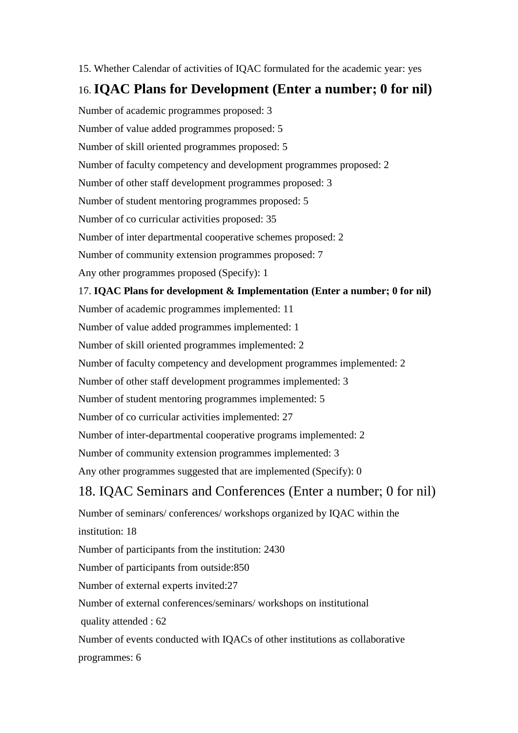15. Whether Calendar of activities of IQAC formulated for the academic year: yes

# 16. **IQAC Plans for Development (Enter a number; 0 for nil)**

Number of academic programmes proposed: 3 Number of value added programmes proposed: 5 Number of skill oriented programmes proposed: 5 Number of faculty competency and development programmes proposed: 2 Number of other staff development programmes proposed: 3 Number of student mentoring programmes proposed: 5 Number of co curricular activities proposed: 35 Number of inter departmental cooperative schemes proposed: 2 Number of community extension programmes proposed: 7 Any other programmes proposed (Specify): 1 17. **IQAC Plans for development & Implementation (Enter a number; 0 for nil)** Number of academic programmes implemented: 11 Number of value added programmes implemented: 1 Number of skill oriented programmes implemented: 2 Number of faculty competency and development programmes implemented: 2 Number of other staff development programmes implemented: 3 Number of student mentoring programmes implemented: 5 Number of co curricular activities implemented: 27 Number of inter-departmental cooperative programs implemented: 2 Number of community extension programmes implemented: 3 Any other programmes suggested that are implemented (Specify): 0

# 18. IQAC Seminars and Conferences (Enter a number; 0 for nil)

Number of seminars/ conferences/ workshops organized by IQAC within the institution: 18 Number of participants from the institution: 2430 Number of participants from outside:850 Number of external experts invited:27 Number of external conferences/seminars/ workshops on institutional quality attended : 62 Number of events conducted with IQACs of other institutions as collaborative programmes: 6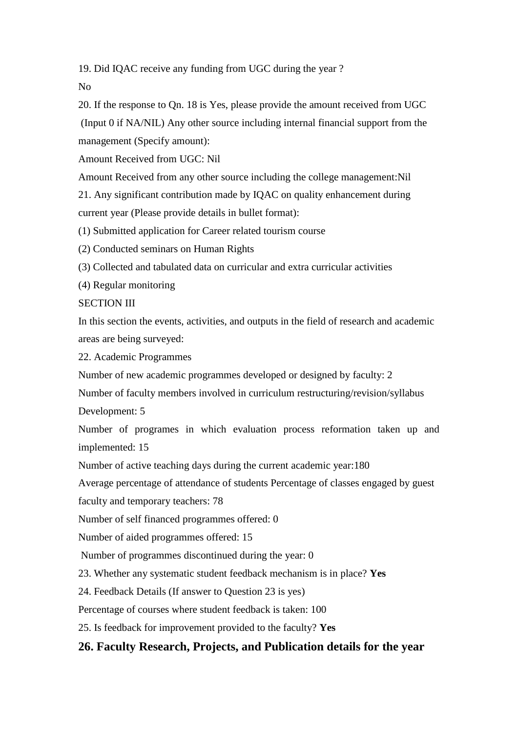19. Did IQAC receive any funding from UGC during the year ?

No

20. If the response to Qn. 18 is Yes, please provide the amount received from UGC (Input 0 if NA/NIL) Any other source including internal financial support from the management (Specify amount):

Amount Received from UGC: Nil

Amount Received from any other source including the college management:Nil

21. Any significant contribution made by IQAC on quality enhancement during current year (Please provide details in bullet format):

(1) Submitted application for Career related tourism course

(2) Conducted seminars on Human Rights

(3) Collected and tabulated data on curricular and extra curricular activities

(4) Regular monitoring

SECTION III

In this section the events, activities, and outputs in the field of research and academic areas are being surveyed:

22. Academic Programmes

Number of new academic programmes developed or designed by faculty: 2

Number of faculty members involved in curriculum restructuring/revision/syllabus Development: 5

Number of programes in which evaluation process reformation taken up and implemented: 15

Number of active teaching days during the current academic year:180

Average percentage of attendance of students Percentage of classes engaged by guest

faculty and temporary teachers: 78

Number of self financed programmes offered: 0

Number of aided programmes offered: 15

Number of programmes discontinued during the year: 0

23. Whether any systematic student feedback mechanism is in place? **Yes**

24. Feedback Details (If answer to Question 23 is yes)

Percentage of courses where student feedback is taken: 100

25. Is feedback for improvement provided to the faculty? **Yes**

## **26. Faculty Research, Projects, and Publication details for the year**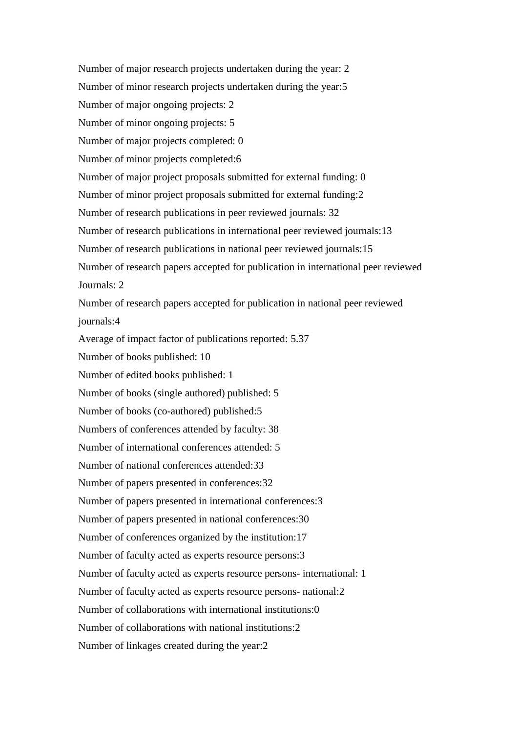Number of major research projects undertaken during the year: 2 Number of minor research projects undertaken during the year:5 Number of major ongoing projects: 2 Number of minor ongoing projects: 5 Number of major projects completed: 0 Number of minor projects completed:6 Number of major project proposals submitted for external funding: 0 Number of minor project proposals submitted for external funding:2 Number of research publications in peer reviewed journals: 32 Number of research publications in international peer reviewed journals:13 Number of research publications in national peer reviewed journals:15 Number of research papers accepted for publication in international peer reviewed Journals: 2 Number of research papers accepted for publication in national peer reviewed journals:4 Average of impact factor of publications reported: 5.37 Number of books published: 10 Number of edited books published: 1 Number of books (single authored) published: 5 Number of books (co-authored) published:5 Numbers of conferences attended by faculty: 38 Number of international conferences attended: 5 Number of national conferences attended:33 Number of papers presented in conferences:32 Number of papers presented in international conferences:3 Number of papers presented in national conferences:30 Number of conferences organized by the institution:17 Number of faculty acted as experts resource persons:3 Number of faculty acted as experts resource persons- international: 1 Number of faculty acted as experts resource persons- national:2 Number of collaborations with international institutions:0 Number of collaborations with national institutions:2 Number of linkages created during the year:2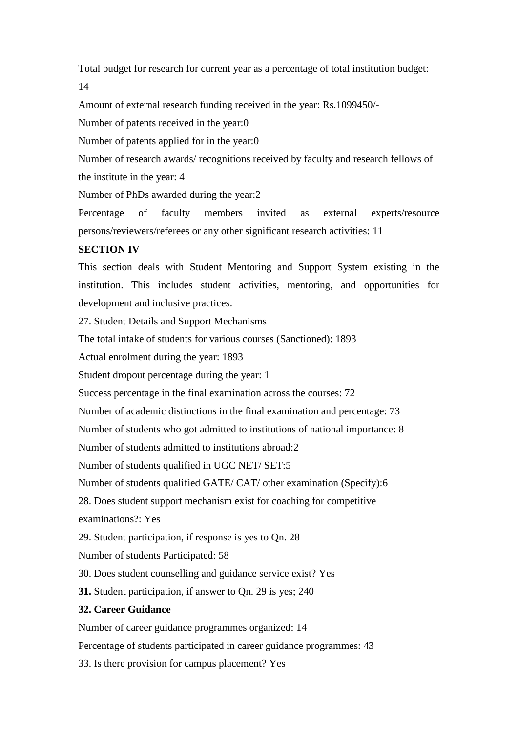Total budget for research for current year as a percentage of total institution budget: 14

Amount of external research funding received in the year: Rs.1099450/-

Number of patents received in the year:0

Number of patents applied for in the year:0

Number of research awards/ recognitions received by faculty and research fellows of the institute in the year: 4

Number of PhDs awarded during the year:2

Percentage of faculty members invited as external experts/resource persons/reviewers/referees or any other significant research activities: 11

### **SECTION IV**

This section deals with Student Mentoring and Support System existing in the institution. This includes student activities, mentoring, and opportunities for development and inclusive practices.

27. Student Details and Support Mechanisms

The total intake of students for various courses (Sanctioned): 1893

Actual enrolment during the year: 1893

Student dropout percentage during the year: 1

Success percentage in the final examination across the courses: 72

Number of academic distinctions in the final examination and percentage: 73

Number of students who got admitted to institutions of national importance: 8

Number of students admitted to institutions abroad:2

Number of students qualified in UGC NET/ SET:5

Number of students qualified GATE/ CAT/ other examination (Specify):6

28. Does student support mechanism exist for coaching for competitive

examinations?: Yes

29. Student participation, if response is yes to Qn. 28

Number of students Participated: 58

30. Does student counselling and guidance service exist? Yes

**31.** Student participation, if answer to Qn. 29 is yes; 240

### **32. Career Guidance**

Number of career guidance programmes organized: 14

Percentage of students participated in career guidance programmes: 43

33. Is there provision for campus placement? Yes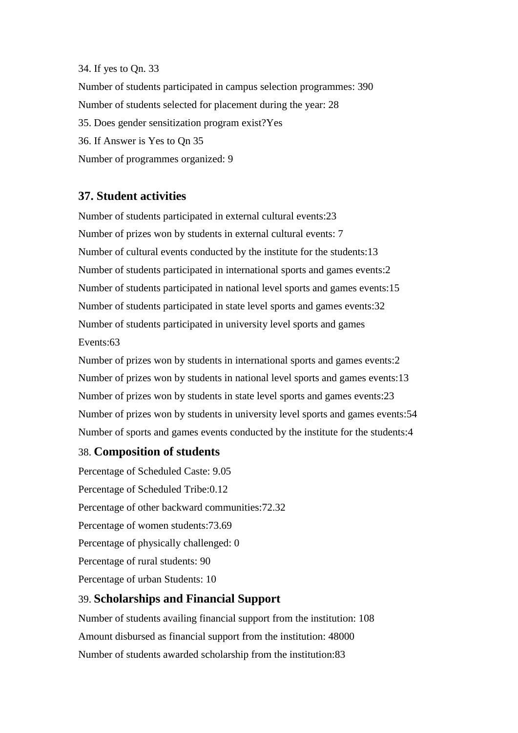#### 34. If yes to Qn. 33

Number of students participated in campus selection programmes: 390 Number of students selected for placement during the year: 28 35. Does gender sensitization program exist?Yes 36. If Answer is Yes to Qn 35 Number of programmes organized: 9

### **37. Student activities**

Number of students participated in external cultural events:23 Number of prizes won by students in external cultural events: 7 Number of cultural events conducted by the institute for the students:13 Number of students participated in international sports and games events:2 Number of students participated in national level sports and games events:15 Number of students participated in state level sports and games events:32 Number of students participated in university level sports and games Events:63

Number of prizes won by students in international sports and games events:2 Number of prizes won by students in national level sports and games events:13 Number of prizes won by students in state level sports and games events:23 Number of prizes won by students in university level sports and games events:54 Number of sports and games events conducted by the institute for the students:4

### 38. **Composition of students**

Percentage of Scheduled Caste: 9.05 Percentage of Scheduled Tribe:0.12 Percentage of other backward communities:72.32 Percentage of women students:73.69 Percentage of physically challenged: 0 Percentage of rural students: 90 Percentage of urban Students: 10

### 39. **Scholarships and Financial Support**

Number of students availing financial support from the institution: 108 Amount disbursed as financial support from the institution: 48000 Number of students awarded scholarship from the institution:83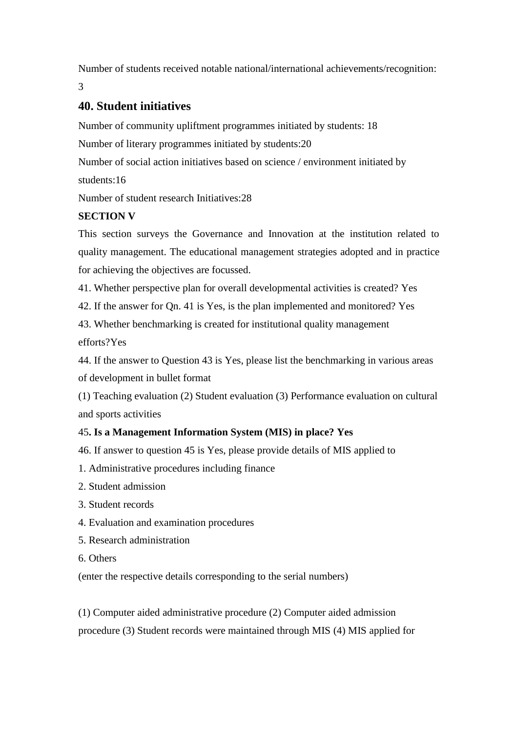Number of students received notable national/international achievements/recognition: 3

## **40. Student initiatives**

Number of community upliftment programmes initiated by students: 18

Number of literary programmes initiated by students:20

Number of social action initiatives based on science / environment initiated by

students:16

Number of student research Initiatives:28

### **SECTION V**

This section surveys the Governance and Innovation at the institution related to quality management. The educational management strategies adopted and in practice for achieving the objectives are focussed.

41. Whether perspective plan for overall developmental activities is created? Yes

42. If the answer for Qn. 41 is Yes, is the plan implemented and monitored? Yes

43. Whether benchmarking is created for institutional quality management efforts?Yes

44. If the answer to Question 43 is Yes, please list the benchmarking in various areas of development in bullet format

(1) Teaching evaluation (2) Student evaluation (3) Performance evaluation on cultural and sports activities

### 45**. Is a Management Information System (MIS) in place? Yes**

46. If answer to question 45 is Yes, please provide details of MIS applied to

- 1. Administrative procedures including finance
- 2. Student admission
- 3. Student records
- 4. Evaluation and examination procedures
- 5. Research administration
- 6. Others

(enter the respective details corresponding to the serial numbers)

(1) Computer aided administrative procedure (2) Computer aided admission procedure (3) Student records were maintained through MIS (4) MIS applied for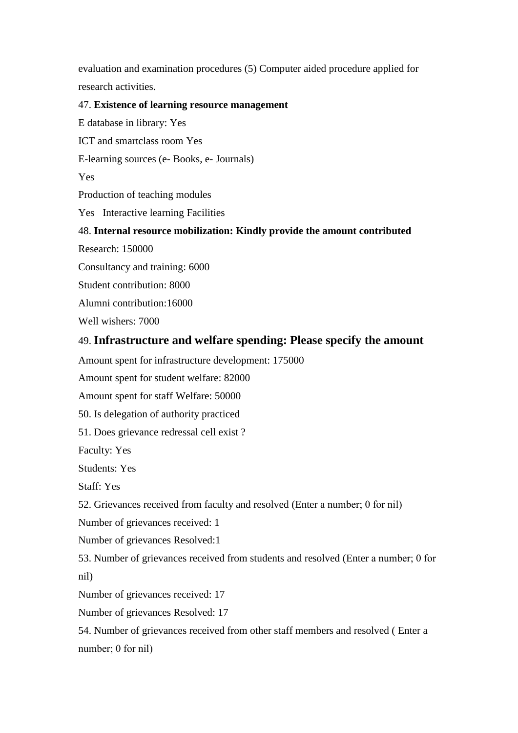evaluation and examination procedures (5) Computer aided procedure applied for research activities.

#### 47. **Existence of learning resource management**

ICT and smartclass room Yes E-learning sources (e- Books, e- Journals) Y<sub>es</sub> Production of teaching modules Yes Interactive learning Facilities 48. **Internal resource mobilization: Kindly provide the amount contributed** Research: 150000 Consultancy and training: 6000 Student contribution: 8000

Alumni contribution:16000

E database in library: Yes : Yes

Well wishers: 7000

### 49. **Infrastructure and welfare spending: Please specify the amount**

Amount spent for infrastructure development: 175000

Amount spent for student welfare: 82000

Amount spent for staff Welfare: 50000

50. Is delegation of authority practiced

51. Does grievance redressal cell exist ?

Faculty: Yes

Students: Yes

Staff: Yes

52. Grievances received from faculty and resolved (Enter a number; 0 for nil)

Number of grievances received: 1

Number of grievances Resolved:1

53. Number of grievances received from students and resolved (Enter a number; 0 for nil)

Number of grievances received: 17

Number of grievances Resolved: 17

54. Number of grievances received from other staff members and resolved ( Enter a number; 0 for nil)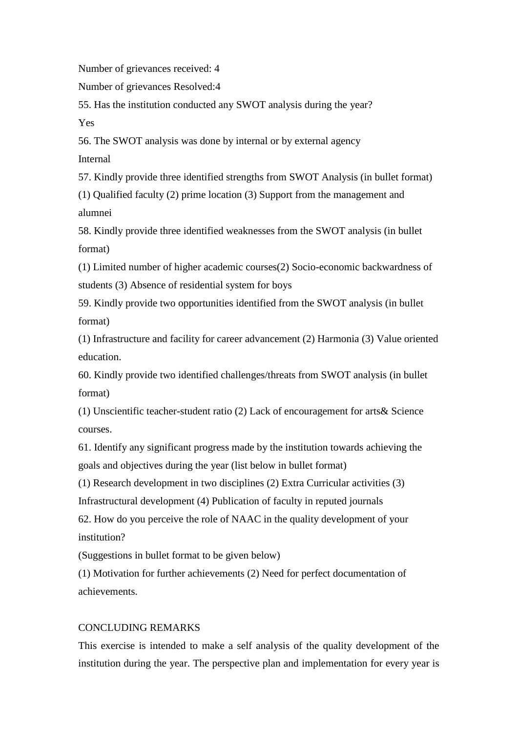Number of grievances received: 4

Number of grievances Resolved:4

55. Has the institution conducted any SWOT analysis during the year? Yes

56. The SWOT analysis was done by internal or by external agency

Internal

57. Kindly provide three identified strengths from SWOT Analysis (in bullet format)

(1) Qualified faculty (2) prime location (3) Support from the management and alumnei

58. Kindly provide three identified weaknesses from the SWOT analysis (in bullet format)

(1) Limited number of higher academic courses(2) Socio-economic backwardness of students (3) Absence of residential system for boys

59. Kindly provide two opportunities identified from the SWOT analysis (in bullet format)

(1) Infrastructure and facility for career advancement (2) Harmonia (3) Value oriented education.

60. Kindly provide two identified challenges/threats from SWOT analysis (in bullet format)

(1) Unscientific teacher-student ratio (2) Lack of encouragement for arts& Science courses.

61. Identify any significant progress made by the institution towards achieving the goals and objectives during the year (list below in bullet format)

(1) Research development in two disciplines (2) Extra Curricular activities (3)

Infrastructural development (4) Publication of faculty in reputed journals

62. How do you perceive the role of NAAC in the quality development of your institution?

(Suggestions in bullet format to be given below)

(1) Motivation for further achievements (2) Need for perfect documentation of achievements.

#### CONCLUDING REMARKS

This exercise is intended to make a self analysis of the quality development of the institution during the year. The perspective plan and implementation for every year is